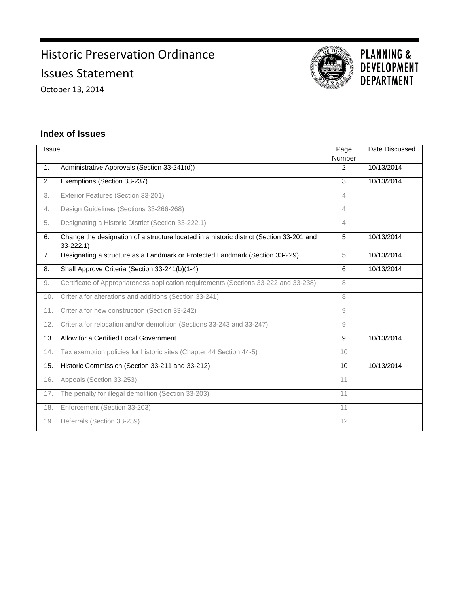## Historic Preservation Ordinance Issues Statement

October 13, 2014



# **PLANNING &<br>DEVELOPMENT DEPARTMENT**

## **Index of Issues**

| Issue |                                                                                                          | Page           | Date Discussed |
|-------|----------------------------------------------------------------------------------------------------------|----------------|----------------|
|       |                                                                                                          | Number         |                |
| 1.    | Administrative Approvals (Section 33-241(d))                                                             | 2              | 10/13/2014     |
| 2.    | Exemptions (Section 33-237)                                                                              | 3              | 10/13/2014     |
| 3.    | Exterior Features (Section 33-201)                                                                       | 4              |                |
| 4.    | Design Guidelines (Sections 33-266-268)                                                                  | 4              |                |
| 5.    | Designating a Historic District (Section 33-222.1)                                                       | $\overline{4}$ |                |
| 6.    | Change the designation of a structure located in a historic district (Section 33-201 and<br>$33 - 222.1$ | 5              | 10/13/2014     |
| 7.    | Designating a structure as a Landmark or Protected Landmark (Section 33-229)                             | 5              | 10/13/2014     |
| 8.    | Shall Approve Criteria (Section 33-241(b)(1-4)                                                           | 6              | 10/13/2014     |
| 9.    | Certificate of Appropriateness application requirements (Sections 33-222 and 33-238)                     | 8              |                |
| 10.   | Criteria for alterations and additions (Section 33-241)                                                  | 8              |                |
| 11.   | Criteria for new construction (Section 33-242)                                                           | 9              |                |
| 12.   | Criteria for relocation and/or demolition (Sections 33-243 and 33-247)                                   | 9              |                |
| 13.   | Allow for a Certified Local Government                                                                   | 9              | 10/13/2014     |
| 14.   | Tax exemption policies for historic sites (Chapter 44 Section 44-5)                                      | 10             |                |
| 15.   | Historic Commission (Section 33-211 and 33-212)                                                          | 10             | 10/13/2014     |
| 16.   | Appeals (Section 33-253)                                                                                 | 11             |                |
| 17.   | The penalty for illegal demolition (Section 33-203)                                                      | 11             |                |
| 18.   | Enforcement (Section 33-203)                                                                             | 11             |                |
| 19.   | Deferrals (Section 33-239)                                                                               | 12             |                |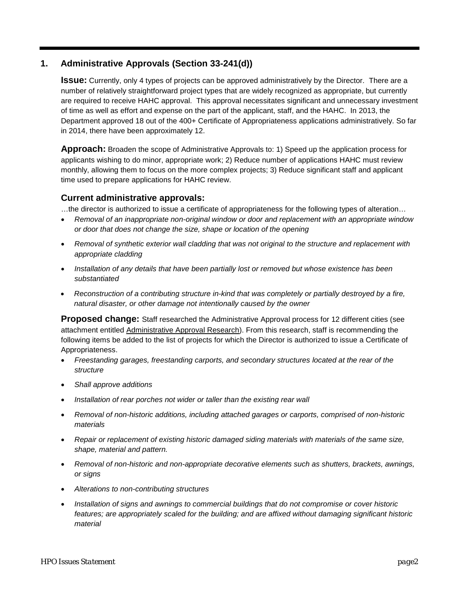## **1. Administrative Approvals (Section 33-241(d))**

**Issue:** Currently, only 4 types of projects can be approved administratively by the Director. There are a number of relatively straightforward project types that are widely recognized as appropriate, but currently are required to receive HAHC approval. This approval necessitates significant and unnecessary investment of time as well as effort and expense on the part of the applicant, staff, and the HAHC. In 2013, the Department approved 18 out of the 400+ Certificate of Appropriateness applications administratively. So far in 2014, there have been approximately 12.

**Approach:** Broaden the scope of Administrative Approvals to: 1) Speed up the application process for applicants wishing to do minor, appropriate work; 2) Reduce number of applications HAHC must review monthly, allowing them to focus on the more complex projects; 3) Reduce significant staff and applicant time used to prepare applications for HAHC review.

## **Current administrative approvals:**

…the director is authorized to issue a certificate of appropriateness for the following types of alteration…

- *Removal of an inappropriate non-original window or door and replacement with an appropriate window or door that does not change the size, shape or location of the opening*
- *Removal of synthetic exterior wall cladding that was not original to the structure and replacement with appropriate cladding*
- *Installation of any details that have been partially lost or removed but whose existence has been substantiated*
- *Reconstruction of a contributing structure in-kind that was completely or partially destroyed by a fire, natural disaster, or other damage not intentionally caused by the owner*

**Proposed change:** Staff researched the Administrative Approval process for 12 different cities (see attachment entitled Administrative Approval Research). From this research, staff is recommending the following items be added to the list of projects for which the Director is authorized to issue a Certificate of Appropriateness.

- *Freestanding garages, freestanding carports, and secondary structures located at the rear of the structure*
- *Shall approve additions*
- *Installation of rear porches not wider or taller than the existing rear wall*
- *Removal of non-historic additions, including attached garages or carports, comprised of non-historic materials*
- *Repair or replacement of existing historic damaged siding materials with materials of the same size, shape, material and pattern.*
- *Removal of non-historic and non-appropriate decorative elements such as shutters, brackets, awnings, or signs*
- *Alterations to non-contributing structures*
- *Installation of signs and awnings to commercial buildings that do not compromise or cover historic features; are appropriately scaled for the building; and are affixed without damaging significant historic material*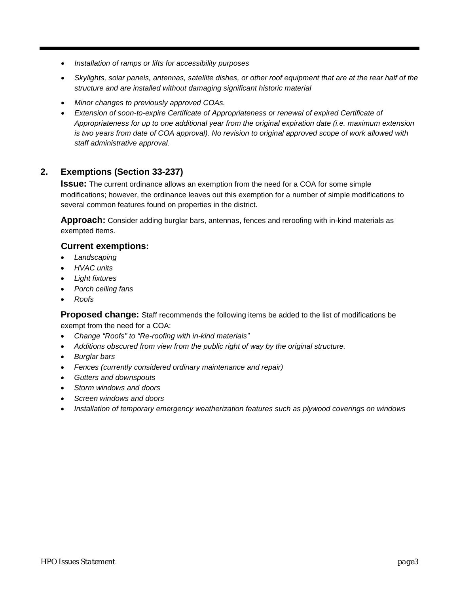- *Installation of ramps or lifts for accessibility purposes*
- *Skylights, solar panels, antennas, satellite dishes, or other roof equipment that are at the rear half of the structure and are installed without damaging significant historic material*
- *Minor changes to previously approved COAs.*
- *Extension of soon-to-expire Certificate of Appropriateness or renewal of expired Certificate of Appropriateness for up to one additional year from the original expiration date (i.e. maximum extension is two years from date of COA approval). No revision to original approved scope of work allowed with staff administrative approval.*

## **2. Exemptions (Section 33-237)**

**Issue:** The current ordinance allows an exemption from the need for a COA for some simple modifications; however, the ordinance leaves out this exemption for a number of simple modifications to several common features found on properties in the district.

**Approach:** Consider adding burglar bars, antennas, fences and reroofing with in-kind materials as exempted items.

#### **Current exemptions:**

- *Landscaping*
- *HVAC units*
- *Light fixtures*
- *Porch ceiling fans*
- *Roofs*

**Proposed change:** Staff recommends the following items be added to the list of modifications be exempt from the need for a COA:

- *Change "Roofs" to "Re-roofing with in-kind materials"*
- *Additions obscured from view from the public right of way by the original structure.*
- *Burglar bars*
- *Fences (currently considered ordinary maintenance and repair)*
- *Gutters and downspouts*
- *Storm windows and doors*
- *Screen windows and doors*
- *Installation of temporary emergency weatherization features such as plywood coverings on windows*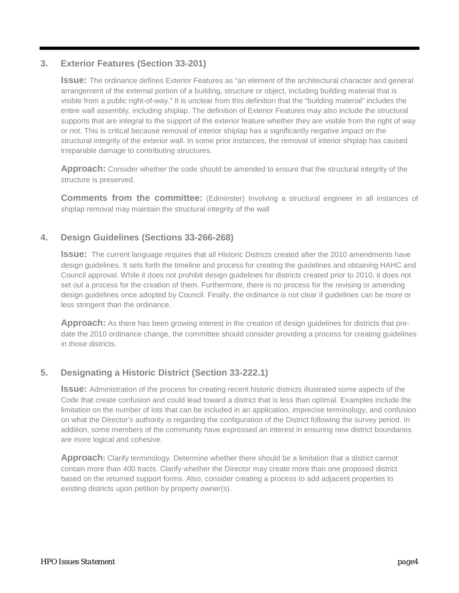## **3. Exterior Features (Section 33-201)**

**Issue:** The ordinance defines Exterior Features as "an element of the architectural character and general arrangement of the external portion of a building, structure or object, including building material that is visible from a public right-of-way." It is unclear from this definition that the "building material" includes the entire wall assembly, including shiplap. The definition of Exterior Features may also include the structural supports that are integral to the support of the exterior feature whether they are visible from the right of way or not. This is critical because removal of interior shiplap has a significantly negative impact on the structural integrity of the exterior wall. In some prior instances, the removal of interior shiplap has caused irreparable damage to contributing structures.

**Approach:** Consider whether the code should be amended to ensure that the structural integrity of the structure is preserved.

**Comments from the committee:** (Edminster) Involving a structural engineer in all instances of shiplap removal may maintain the structural integrity of the wall

## **4. Design Guidelines (Sections 33-266-268)**

**Issue:** The current language requires that all Historic Districts created after the 2010 amendments have design guidelines. It sets forth the timeline and process for creating the guidelines and obtaining HAHC and Council approval. While it does not prohibit design guidelines for districts created prior to 2010, it does not set out a process for the creation of them. Furthermore, there is no process for the revising or amending design guidelines once adopted by Council. Finally, the ordinance is not clear if guidelines can be more or less stringent than the ordinance.

**Approach:** As there has been growing interest in the creation of design guidelines for districts that predate the 2010 ordinance change, the committee should consider providing a process for creating guidelines in those districts.

## **5. Designating a Historic District (Section 33-222.1)**

**Issue:** Administration of the process for creating recent historic districts illustrated some aspects of the Code that create confusion and could lead toward a district that is less than optimal. Examples include the limitation on the number of lots that can be included in an application, imprecise terminology, and confusion on what the Director's authority is regarding the configuration of the District following the survey period. In addition, some members of the community have expressed an interest in ensuring new district boundaries are more logical and cohesive.

**Approach:** Clarify terminology. Determine whether there should be a limitation that a district cannot contain more than 400 tracts. Clarify whether the Director may create more than one proposed district based on the returned support forms. Also, consider creating a process to add adjacent properties to existing districts upon petition by property owner(s).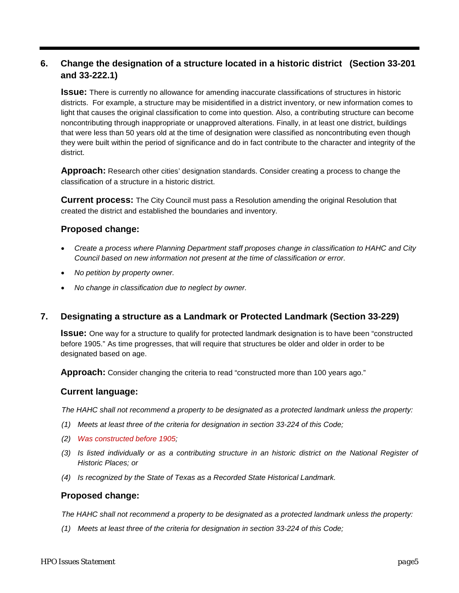## **6. Change the designation of a structure located in a historic district (Section 33-201 and 33-222.1)**

**Issue:** There is currently no allowance for amending inaccurate classifications of structures in historic districts. For example, a structure may be misidentified in a district inventory, or new information comes to light that causes the original classification to come into question. Also, a contributing structure can become noncontributing through inappropriate or unapproved alterations. Finally, in at least one district, buildings that were less than 50 years old at the time of designation were classified as noncontributing even though they were built within the period of significance and do in fact contribute to the character and integrity of the district.

**Approach:** Research other cities' designation standards. Consider creating a process to change the classification of a structure in a historic district.

**Current process:** The City Council must pass a Resolution amending the original Resolution that created the district and established the boundaries and inventory.

## **Proposed change:**

- *Create a process where Planning Department staff proposes change in classification to HAHC and City Council based on new information not present at the time of classification or error.*
- *No petition by property owner.*
- *No change in classification due to neglect by owner.*

## **7. Designating a structure as a Landmark or Protected Landmark (Section 33-229)**

**Issue:** One way for a structure to qualify for protected landmark designation is to have been "constructed before 1905." As time progresses, that will require that structures be older and older in order to be designated based on age.

**Approach:** Consider changing the criteria to read "constructed more than 100 years ago."

#### **Current language:**

*The HAHC shall not recommend a property to be designated as a protected landmark unless the property:*

- *(1) Meets at least three of the criteria for designation in section 33-224 of this Code;*
- *(2) Was constructed before 1905;*
- *(3) Is listed individually or as a contributing structure in an historic district on the National Register of Historic Places; or*
- *(4) Is recognized by the State of Texas as a Recorded State Historical Landmark.*

#### **Proposed change:**

*The HAHC shall not recommend a property to be designated as a protected landmark unless the property:*

*(1) Meets at least three of the criteria for designation in section 33-224 of this Code;*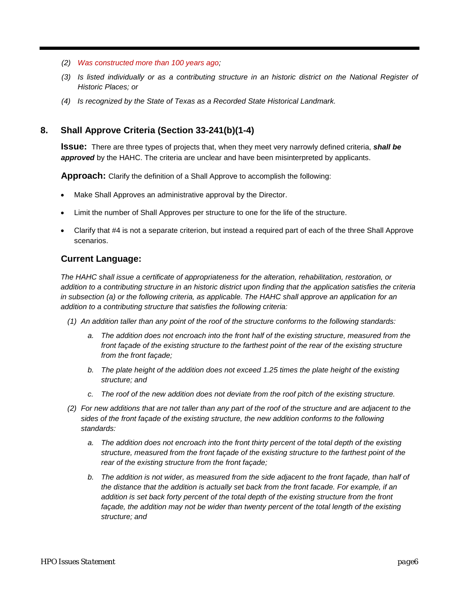- *(2) Was constructed more than 100 years ago;*
- *(3) Is listed individually or as a contributing structure in an historic district on the National Register of Historic Places; or*
- *(4) Is recognized by the State of Texas as a Recorded State Historical Landmark.*

## **8. Shall Approve Criteria (Section 33-241(b)(1-4)**

**Issue:** There are three types of projects that, when they meet very narrowly defined criteria, *shall be approved* by the HAHC. The criteria are unclear and have been misinterpreted by applicants.

**Approach:** Clarify the definition of a Shall Approve to accomplish the following:

- Make Shall Approves an administrative approval by the Director.
- Limit the number of Shall Approves per structure to one for the life of the structure.
- Clarify that #4 is not a separate criterion, but instead a required part of each of the three Shall Approve scenarios.

## **Current Language:**

*The HAHC shall issue a certificate of appropriateness for the alteration, rehabilitation, restoration, or addition to a contributing structure in an historic district upon finding that the application satisfies the criteria in subsection (a) or the following criteria, as applicable. The HAHC shall approve an application for an addition to a contributing structure that satisfies the following criteria:*

- *(1) An addition taller than any point of the roof of the structure conforms to the following standards:*
	- *a. The addition does not encroach into the front half of the existing structure, measured from the front façade of the existing structure to the farthest point of the rear of the existing structure from the front façade;*
	- *b. The plate height of the addition does not exceed 1.25 times the plate height of the existing structure; and*
	- *c. The roof of the new addition does not deviate from the roof pitch of the existing structure.*
- *(2) For new additions that are not taller than any part of the roof of the structure and are adjacent to the sides of the front façade of the existing structure, the new addition conforms to the following standards:*
	- *a. The addition does not encroach into the front thirty percent of the total depth of the existing structure, measured from the front façade of the existing structure to the farthest point of the rear of the existing structure from the front façade;*
	- *b. The addition is not wider, as measured from the side adjacent to the front façade, than half of the distance that the addition is actually set back from the front facade. For example, if an addition is set back forty percent of the total depth of the existing structure from the front*  façade, the addition may not be wider than twenty percent of the total length of the existing *structure; and*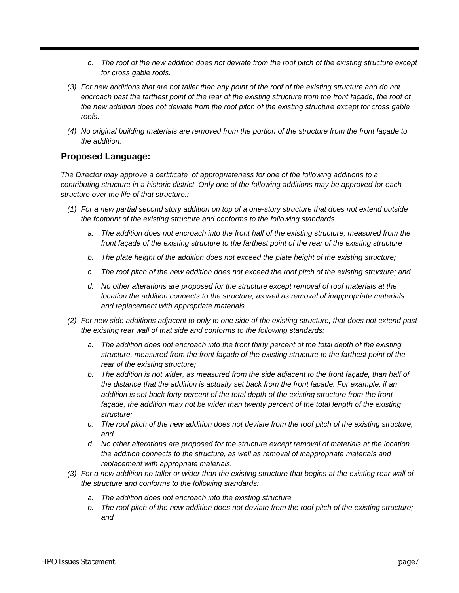- *c. The roof of the new addition does not deviate from the roof pitch of the existing structure except for cross gable roofs.*
- *(3) For new additions that are not taller than any point of the roof of the existing structure and do not encroach past the farthest point of the rear of the existing structure from the front façade, the roof of the new addition does not deviate from the roof pitch of the existing structure except for cross gable roofs.*
- *(4) No original building materials are removed from the portion of the structure from the front façade to the addition.*

## **Proposed Language:**

*The Director may approve a certificate of appropriateness for one of the following additions to a contributing structure in a historic district. Only one of the following additions may be approved for each structure over the life of that structure.:* 

- *(1) For a new partial second story addition on top of a one-story structure that does not extend outside the footprint of the existing structure and conforms to the following standards:*
	- *a. The addition does not encroach into the front half of the existing structure, measured from the front façade of the existing structure to the farthest point of the rear of the existing structure*
	- *b. The plate height of the addition does not exceed the plate height of the existing structure;*
	- *c. The roof pitch of the new addition does not exceed the roof pitch of the existing structure; and*
	- *d. No other alterations are proposed for the structure except removal of roof materials at the location the addition connects to the structure, as well as removal of inappropriate materials and replacement with appropriate materials.*
- *(2) For new side additions adjacent to only to one side of the existing structure, that does not extend past the existing rear wall of that side and conforms to the following standards:* 
	- *a. The addition does not encroach into the front thirty percent of the total depth of the existing structure, measured from the front façade of the existing structure to the farthest point of the rear of the existing structure;*
	- *b. The addition is not wider, as measured from the side adjacent to the front façade, than half of the distance that the addition is actually set back from the front facade. For example, if an addition is set back forty percent of the total depth of the existing structure from the front façade, the addition may not be wider than twenty percent of the total length of the existing structure;*
	- *c. The roof pitch of the new addition does not deviate from the roof pitch of the existing structure; and*
	- *d. No other alterations are proposed for the structure except removal of materials at the location the addition connects to the structure, as well as removal of inappropriate materials and replacement with appropriate materials.*
- *(3) For a new addition no taller or wider than the existing structure that begins at the existing rear wall of the structure and conforms to the following standards:* 
	- *a. The addition does not encroach into the existing structure*
	- *b. The roof pitch of the new addition does not deviate from the roof pitch of the existing structure; and*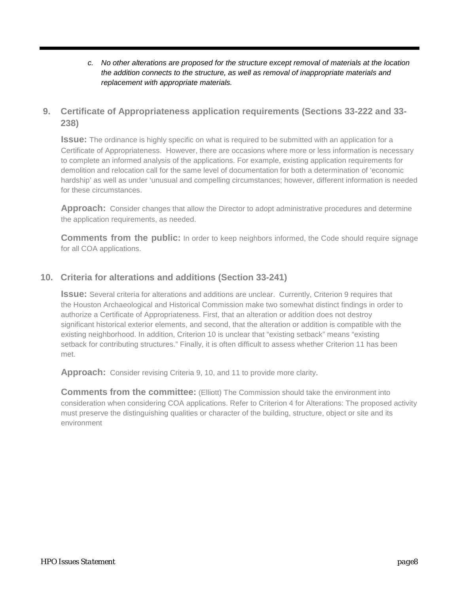#### *c. No other alterations are proposed for the structure except removal of materials at the location the addition connects to the structure, as well as removal of inappropriate materials and replacement with appropriate materials.*

## **9. Certificate of Appropriateness application requirements (Sections 33-222 and 33- 238)**

**Issue:** The ordinance is highly specific on what is required to be submitted with an application for a Certificate of Appropriateness. However, there are occasions where more or less information is necessary to complete an informed analysis of the applications. For example, existing application requirements for demolition and relocation call for the same level of documentation for both a determination of 'economic hardship' as well as under 'unusual and compelling circumstances; however, different information is needed for these circumstances.

**Approach:** Consider changes that allow the Director to adopt administrative procedures and determine the application requirements, as needed.

**Comments from the public:** In order to keep neighbors informed, the Code should require signage for all COA applications.

## **10. Criteria for alterations and additions (Section 33-241)**

**Issue:** Several criteria for alterations and additions are unclear. Currently, Criterion 9 requires that the Houston Archaeological and Historical Commission make two somewhat distinct findings in order to authorize a Certificate of Appropriateness. First, that an alteration or addition does not destroy significant historical exterior elements, and second, that the alteration or addition is compatible with the existing neighborhood. In addition, Criterion 10 is unclear that "existing setback" means "existing setback for contributing structures." Finally, it is often difficult to assess whether Criterion 11 has been met.

**Approach:** Consider revising Criteria 9, 10, and 11 to provide more clarity.

**Comments from the committee:** (Elliott) The Commission should take the environment into consideration when considering COA applications. Refer to Criterion 4 for Alterations: The proposed activity must preserve the distinguishing qualities or character of the building, structure, object or site and its environment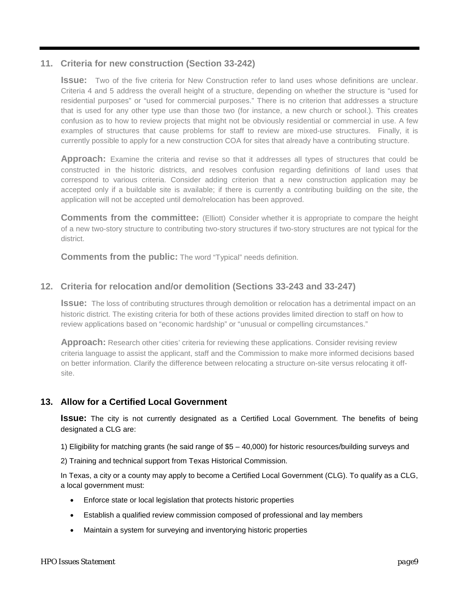## **11. Criteria for new construction (Section 33-242)**

**Issue:** Two of the five criteria for New Construction refer to land uses whose definitions are unclear. Criteria 4 and 5 address the overall height of a structure, depending on whether the structure is "used for residential purposes" or "used for commercial purposes." There is no criterion that addresses a structure that is used for any other type use than those two (for instance, a new church or school.). This creates confusion as to how to review projects that might not be obviously residential or commercial in use. A few examples of structures that cause problems for staff to review are mixed-use structures. Finally, it is currently possible to apply for a new construction COA for sites that already have a contributing structure.

**Approach:** Examine the criteria and revise so that it addresses all types of structures that could be constructed in the historic districts, and resolves confusion regarding definitions of land uses that correspond to various criteria. Consider adding criterion that a new construction application may be accepted only if a buildable site is available; if there is currently a contributing building on the site, the application will not be accepted until demo/relocation has been approved.

**Comments from the committee:** (Elliott) Consider whether it is appropriate to compare the height of a new two-story structure to contributing two-story structures if two-story structures are not typical for the district.

**Comments from the public:** The word "Typical" needs definition.

## **12. Criteria for relocation and/or demolition (Sections 33-243 and 33-247)**

**Issue:** The loss of contributing structures through demolition or relocation has a detrimental impact on an historic district. The existing criteria for both of these actions provides limited direction to staff on how to review applications based on "economic hardship" or "unusual or compelling circumstances."

**Approach:** Research other cities' criteria for reviewing these applications. Consider revising review criteria language to assist the applicant, staff and the Commission to make more informed decisions based on better information. Clarify the difference between relocating a structure on-site versus relocating it offsite.

## **13. Allow for a Certified Local Government**

**ISSUE:** The city is not currently designated as a Certified Local Government. The benefits of being designated a CLG are:

1) Eligibility for matching grants (he said range of \$5 – 40,000) for historic resources/building surveys and

2) Training and technical support from Texas Historical Commission.

In Texas, a city or a county may apply to become a Certified Local Government (CLG). To qualify as a CLG, a local government must:

- Enforce state or local legislation that protects historic properties
- Establish a qualified review commission composed of professional and lay members
- Maintain a system for surveying and inventorying historic properties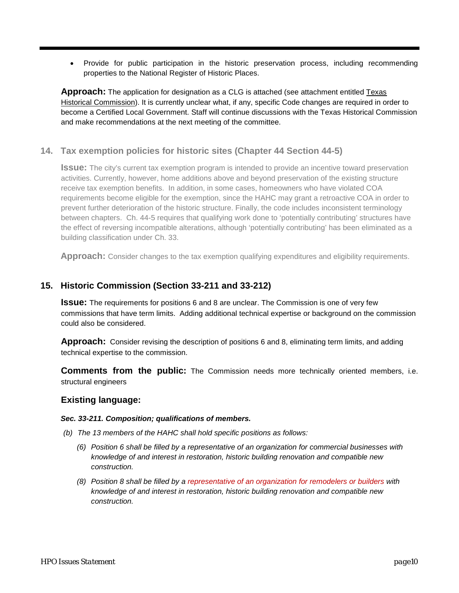• Provide for public participation in the historic preservation process, including recommending properties to the National Register of Historic Places.

**Approach:** The application for designation as a CLG is attached (see attachment entitled Texas Historical Commission). It is currently unclear what, if any, specific Code changes are required in order to become a Certified Local Government. Staff will continue discussions with the Texas Historical Commission and make recommendations at the next meeting of the committee.

## **14. Tax exemption policies for historic sites (Chapter 44 Section 44-5)**

**Issue:** The city's current tax exemption program is intended to provide an incentive toward preservation activities. Currently, however, home additions above and beyond preservation of the existing structure receive tax exemption benefits. In addition, in some cases, homeowners who have violated COA requirements become eligible for the exemption, since the HAHC may grant a retroactive COA in order to prevent further deterioration of the historic structure. Finally, the code includes inconsistent terminology between chapters. Ch. 44-5 requires that qualifying work done to 'potentially contributing' structures have the effect of reversing incompatible alterations, although 'potentially contributing' has been eliminated as a building classification under Ch. 33.

**Approach:** Consider changes to the tax exemption qualifying expenditures and eligibility requirements.

## **15. Historic Commission (Section 33-211 and 33-212)**

**Issue:** The requirements for positions 6 and 8 are unclear. The Commission is one of very few commissions that have term limits. Adding additional technical expertise or background on the commission could also be considered.

**Approach:** Consider revising the description of positions 6 and 8, eliminating term limits, and adding technical expertise to the commission.

**Comments from the public:** The Commission needs more technically oriented members, i.e. structural engineers

#### **Existing language:**

#### *Sec. 33-211. Composition; qualifications of members.*

- *(b) The 13 members of the HAHC shall hold specific positions as follows:*
	- *(6) Position 6 shall be filled by a representative of an organization for commercial businesses with knowledge of and interest in restoration, historic building renovation and compatible new construction.*
	- *(8) Position 8 shall be filled by a representative of an organization for remodelers or builders with knowledge of and interest in restoration, historic building renovation and compatible new construction.*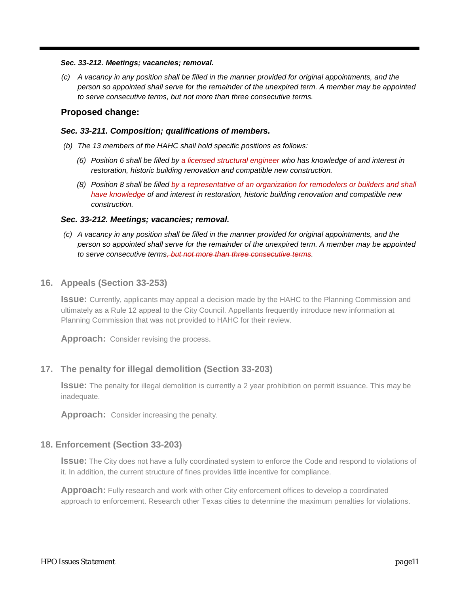#### *Sec. 33-212. Meetings; vacancies; removal.*

*(c) A vacancy in any position shall be filled in the manner provided for original appointments, and the person so appointed shall serve for the remainder of the unexpired term. A member may be appointed to serve consecutive terms, but not more than three consecutive terms.*

#### **Proposed change:**

#### *Sec. 33-211. Composition; qualifications of members.*

- *(b) The 13 members of the HAHC shall hold specific positions as follows:*
	- *(6) Position 6 shall be filled by a licensed structural engineer who has knowledge of and interest in restoration, historic building renovation and compatible new construction.*
	- *(8) Position 8 shall be filled by a representative of an organization for remodelers or builders and shall have knowledge of and interest in restoration, historic building renovation and compatible new construction.*

#### *Sec. 33-212. Meetings; vacancies; removal.*

*(c) A vacancy in any position shall be filled in the manner provided for original appointments, and the person so appointed shall serve for the remainder of the unexpired term. A member may be appointed to serve consecutive terms, but not more than three consecutive terms.*

#### **16. Appeals (Section 33-253)**

**Issue:** Currently, applicants may appeal a decision made by the HAHC to the Planning Commission and ultimately as a Rule 12 appeal to the City Council. Appellants frequently introduce new information at Planning Commission that was not provided to HAHC for their review.

**Approach:** Consider revising the process.

#### **17. The penalty for illegal demolition (Section 33-203)**

**Issue:** The penalty for illegal demolition is currently a 2 year prohibition on permit issuance. This may be inadequate.

**Approach:**Consider increasing the penalty.

#### **18. Enforcement (Section 33-203)**

**Issue:** The City does not have a fully coordinated system to enforce the Code and respond to violations of it. In addition, the current structure of fines provides little incentive for compliance.

**Approach:** Fully research and work with other City enforcement offices to develop a coordinated approach to enforcement. Research other Texas cities to determine the maximum penalties for violations.